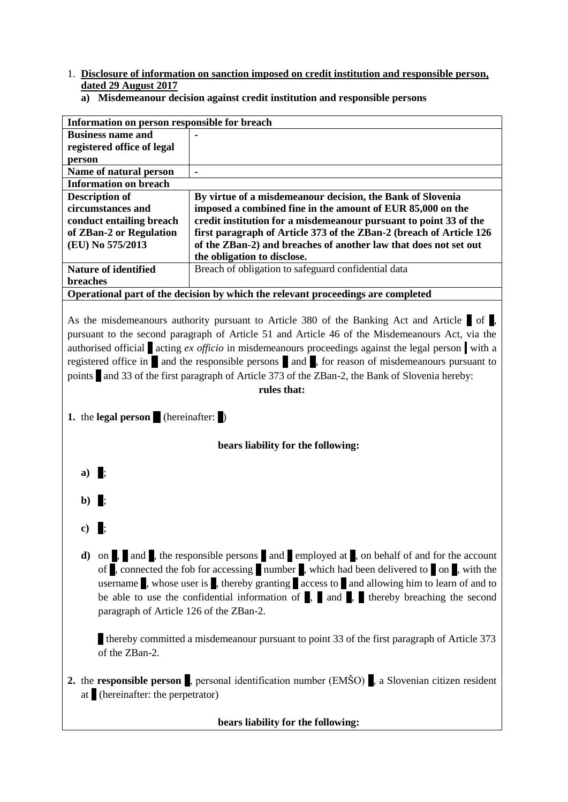- 1. **Disclosure of information on sanction imposed on credit institution and responsible person, dated 29 August 2017**
	- **a) Misdemeanour decision against credit institution and responsible persons**

| Information on person responsible for breach                                     |                                                                     |
|----------------------------------------------------------------------------------|---------------------------------------------------------------------|
| <b>Business name and</b>                                                         |                                                                     |
| registered office of legal                                                       |                                                                     |
| person                                                                           |                                                                     |
| Name of natural person                                                           |                                                                     |
| <b>Information on breach</b>                                                     |                                                                     |
| <b>Description of</b>                                                            | By virtue of a misdemeanour decision, the Bank of Slovenia          |
| circumstances and                                                                | imposed a combined fine in the amount of EUR 85,000 on the          |
| conduct entailing breach                                                         | credit institution for a misdemean our pursuant to point 33 of the  |
| of ZBan-2 or Regulation                                                          | first paragraph of Article 373 of the ZBan-2 (breach of Article 126 |
| (EU) No 575/2013                                                                 | of the ZBan-2) and breaches of another law that does not set out    |
|                                                                                  | the obligation to disclose.                                         |
| <b>Nature of identified</b>                                                      | Breach of obligation to safeguard confidential data                 |
| breaches                                                                         |                                                                     |
| Operational part of the decision by which the relevant proceedings are completed |                                                                     |

As the misdemeanours authority pursuant to Article 380 of the Banking Act and Article of  $\mathbb{R}$ , pursuant to the second paragraph of Article 51 and Article 46 of the Misdemeanours Act, via the authorised official a acting *ex officio* in misdemeanours proceedings against the legal person . with a registered office in  $\blacksquare$  and the responsible persons  $\blacksquare$  and  $\blacksquare$ , for reason of misdemeanours pursuant to points and 33 of the first paragraph of Article 373 of the ZBan-2, the Bank of Slovenia hereby:

#### **rules that:**

**1.** the **legal person** (hereinafter: b)

### **bears liability for the following:**

- **a**)
- $\mathbf{h}$
- **c**)
- **d**) on , and , the responsible persons and employed at , on behalf of and for the account of , connected the fob for accessing number , which had been delivered to on, with the username  $\bullet$ , whose user is  $\bullet$ , thereby granting access to and allowing him to learn of and to be able to use the confidential information of  $\overline{a}$ , and  $\overline{a}$ , thereby breaching the second paragraph of Article 126 of the ZBan-2.

thereby committed a misdemeanour pursuant to point 33 of the first paragraph of Article 373 of the ZBan-2.

**2.** the **responsible person**, personal identification number (EMŠO), a Slovenian citizen resident at (hereinafter: the perpetrator)

#### **bears liability for the following:**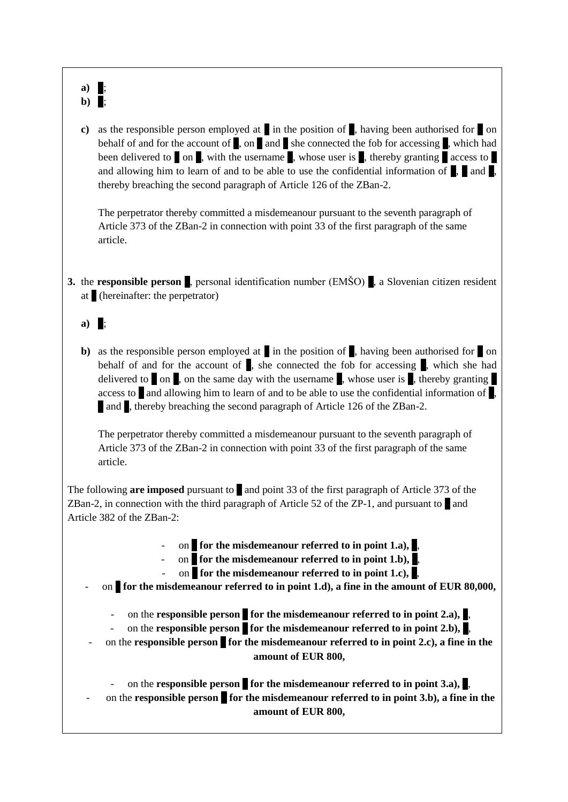# a)  $\parallel$ ;  $\mathbf{b}$ )  $\mathbf{r}$ :

**c**) as the responsible person employed at in the position of  $\theta$ , having been authorised for on behalf of and for the account of  $\alpha$ , on and she connected the fob for accessing  $\alpha$ , which had been delivered to  $\alpha$ , with the username  $\alpha$ , whose user is d, thereby granting access to and allowing him to learn of and to be able to use the confidential information of  $\Box$  and  $\Box$ thereby breaching the second paragraph of Article 126 of the ZBan-2.

The perpetrator thereby committed a misdemeanour pursuant to the seventh paragraph of Article 373 of the ZBan-2 in connection with point 33 of the first paragraph of the same article.

**3.** the **responsible person**, personal identification number (EMŠO), a Slovenian citizen resident at (hereinafter: the perpetrator)

## a)  $\mathbb{L}$

**b**) as the responsible person employed at in the position of , having been authorised for on behalf of and for the account of  $\overline{d}$ , she connected the fob for accessing  $\overline{d}$ , which she had delivered to on, on the same day with the username d, whose user is determining delivered to on  $\alpha$ , on the same day with the username access to  $\blacksquare$  and allowing him to learn of and to be able to use the confidential information of  $\blacksquare$ . and , thereby breaching the second paragraph of Article 126 of the ZBan-2.

The perpetrator thereby committed a misdemeanour pursuant to the seventh paragraph of Article 373 of the ZBan-2 in connection with point 33 of the first paragraph of the same article.

The following **are imposed** pursuant to and point 33 of the first paragraph of Article 373 of the ZBan-2, in connection with the third paragraph of Article 52 of the ZP-1, and pursuant to  $\Box$  and Article 382 of the ZBan-2:

- on for the misdemeanour referred to in point 1.a),  $\lambda$ 
	- on for the misdemeanour referred to in point 1.b),
	- on for the misdemeanour referred to in point 1.c),
- on for the misdemeanour referred to in point 1.d), a fine in the amount of EUR 80,000,
	- on the **responsible person** for the misdemeanour referred to in point 2.a),  $\blacksquare$ ,
	- on the **responsible person** for the misdemeanour referred to in point 2.b),  $\blacksquare$ ,
	- on the **responsible person** for the misdemeanour referred to in point 2.c), a fine in the **amount of EUR 800,**

on the **responsible person** for the misdemeanour referred to in point  $3.a$ . on the **responsible person** for the misdemeanour referred to in point 3.b), a fine in the **amount of EUR 800,**